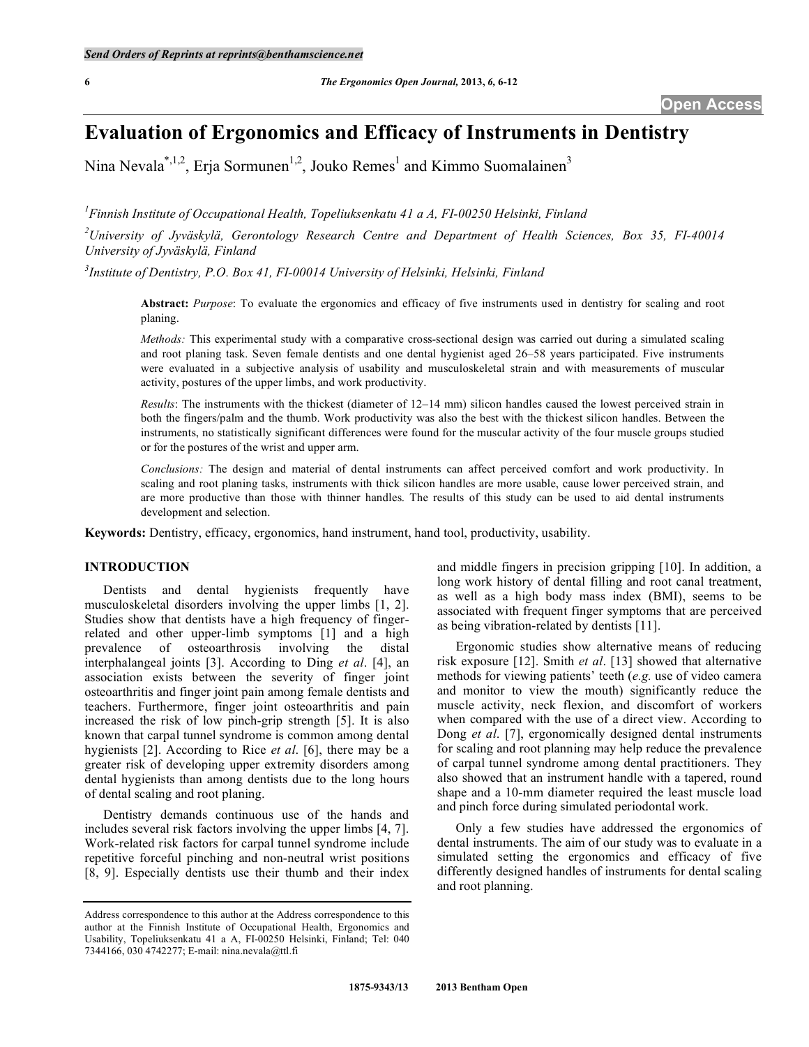# **Evaluation of Ergonomics and Efficacy of Instruments in Dentistry**

Nina Nevala<sup>\*,1,2</sup>, Erja Sormunen<sup>1,2</sup>, Jouko Remes<sup>1</sup> and Kimmo Suomalainen<sup>3</sup>

*1 Finnish Institute of Occupational Health, Topeliuksenkatu 41 a A, FI-00250 Helsinki, Finland* 

*2 University of Jyväskylä, Gerontology Research Centre and Department of Health Sciences, Box 35, FI-40014 University of Jyväskylä, Finland* 

*3 Institute of Dentistry, P.O. Box 41, FI-00014 University of Helsinki, Helsinki, Finland* 

**Abstract:** *Purpose*: To evaluate the ergonomics and efficacy of five instruments used in dentistry for scaling and root planing.

*Methods:* This experimental study with a comparative cross-sectional design was carried out during a simulated scaling and root planing task. Seven female dentists and one dental hygienist aged 26–58 years participated. Five instruments were evaluated in a subjective analysis of usability and musculoskeletal strain and with measurements of muscular activity, postures of the upper limbs, and work productivity.

*Results*: The instruments with the thickest (diameter of 12–14 mm) silicon handles caused the lowest perceived strain in both the fingers/palm and the thumb. Work productivity was also the best with the thickest silicon handles. Between the instruments, no statistically significant differences were found for the muscular activity of the four muscle groups studied or for the postures of the wrist and upper arm.

*Conclusions:* The design and material of dental instruments can affect perceived comfort and work productivity. In scaling and root planing tasks, instruments with thick silicon handles are more usable, cause lower perceived strain, and are more productive than those with thinner handles. The results of this study can be used to aid dental instruments development and selection.

**Keywords:** Dentistry, efficacy, ergonomics, hand instrument, hand tool, productivity, usability.

# **INTRODUCTION**

 Dentists and dental hygienists frequently have musculoskeletal disorders involving the upper limbs [1, 2]. Studies show that dentists have a high frequency of fingerrelated and other upper-limb symptoms [1] and a high prevalence of osteoarthrosis involving the distal interphalangeal joints [3]. According to Ding *et al*. [4], an association exists between the severity of finger joint osteoarthritis and finger joint pain among female dentists and teachers. Furthermore, finger joint osteoarthritis and pain increased the risk of low pinch-grip strength [5]. It is also known that carpal tunnel syndrome is common among dental hygienists [2]. According to Rice *et al*. [6], there may be a greater risk of developing upper extremity disorders among dental hygienists than among dentists due to the long hours of dental scaling and root planing.

 Dentistry demands continuous use of the hands and includes several risk factors involving the upper limbs [4, 7]. Work-related risk factors for carpal tunnel syndrome include repetitive forceful pinching and non-neutral wrist positions [8, 9]. Especially dentists use their thumb and their index

and middle fingers in precision gripping [10]. In addition, a long work history of dental filling and root canal treatment, as well as a high body mass index (BMI), seems to be associated with frequent finger symptoms that are perceived as being vibration-related by dentists [11].

 Ergonomic studies show alternative means of reducing risk exposure [12]. Smith *et al*. [13] showed that alternative methods for viewing patients' teeth (*e.g.* use of video camera and monitor to view the mouth) significantly reduce the muscle activity, neck flexion, and discomfort of workers when compared with the use of a direct view. According to Dong *et al*. [7], ergonomically designed dental instruments for scaling and root planning may help reduce the prevalence of carpal tunnel syndrome among dental practitioners. They also showed that an instrument handle with a tapered, round shape and a 10-mm diameter required the least muscle load and pinch force during simulated periodontal work.

 Only a few studies have addressed the ergonomics of dental instruments. The aim of our study was to evaluate in a simulated setting the ergonomics and efficacy of five differently designed handles of instruments for dental scaling and root planning.

Address correspondence to this author at the Address correspondence to this author at the Finnish Institute of Occupational Health, Ergonomics and Usability, Topeliuksenkatu 41 a A, FI-00250 Helsinki, Finland; Tel: 040 7344166, 030 4742277; E-mail: nina.nevala@ttl.fi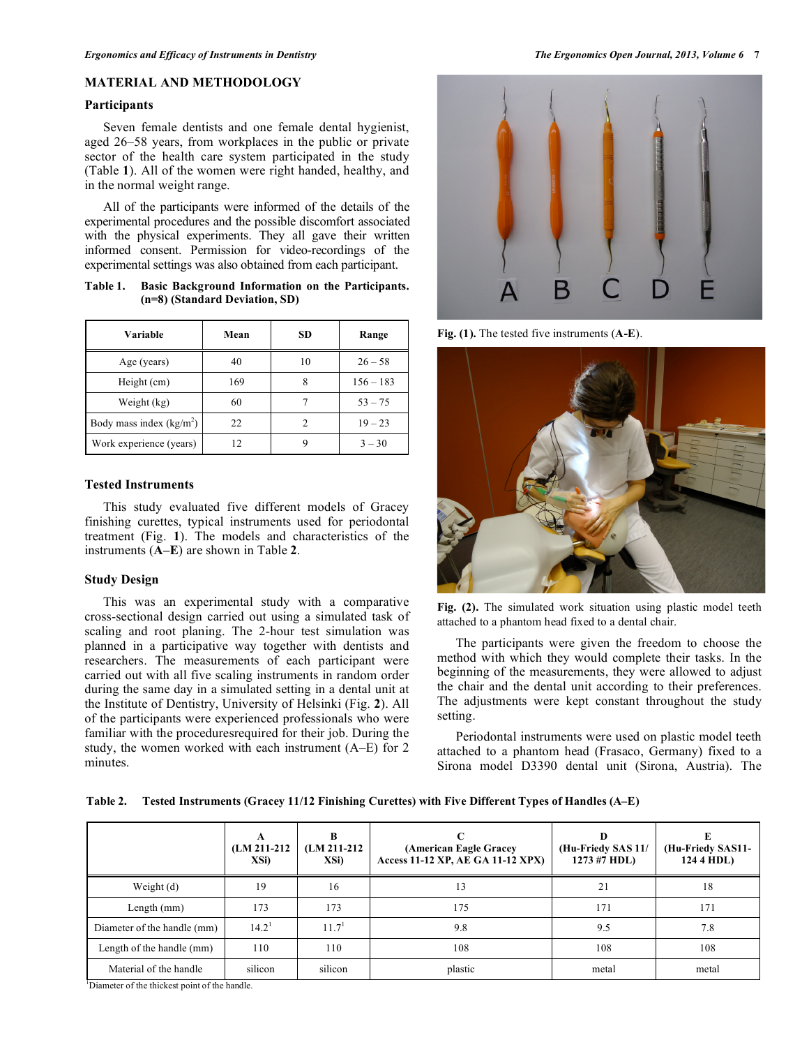# **MATERIAL AND METHODOLOGY**

# **Participants**

 Seven female dentists and one female dental hygienist, aged 26–58 years, from workplaces in the public or private sector of the health care system participated in the study (Table **1**). All of the women were right handed, healthy, and in the normal weight range.

 All of the participants were informed of the details of the experimental procedures and the possible discomfort associated with the physical experiments. They all gave their written informed consent. Permission for video-recordings of the experimental settings was also obtained from each participant.

**Table 1. Basic Background Information on the Participants. (n=8) (Standard Deviation, SD)** 

| Variable                  | Mean | <b>SD</b> | Range       |
|---------------------------|------|-----------|-------------|
| Age (years)               | 40   | 10        | $26 - 58$   |
| Height (cm)               | 169  |           | $156 - 183$ |
| Weight (kg)               | 60   |           | $53 - 75$   |
| Body mass index $(kg/m2)$ | 22.  |           | $19 - 23$   |
| Work experience (years)   |      |           | $3 - 30$    |

#### **Tested Instruments**

 This study evaluated five different models of Gracey finishing curettes, typical instruments used for periodontal treatment (Fig. **1**). The models and characteristics of the instruments (**A–E**) are shown in Table **2**.

#### **Study Design**

This was an experimental study with a comparative cross-sectional design carried out using a simulated task of scaling and root planing. The 2-hour test simulation was planned in a participative way together with dentists and researchers. The measurements of each participant were carried out with all five scaling instruments in random order during the same day in a simulated setting in a dental unit at the Institute of Dentistry, University of Helsinki (Fig. **2**). All of the participants were experienced professionals who were familiar with the proceduresrequired for their job. During the study, the women worked with each instrument (A–E) for 2 minutes.



**Fig. (1).** The tested five instruments (**A-E**).



**Fig. (2).** The simulated work situation using plastic model teeth attached to a phantom head fixed to a dental chair.

 The participants were given the freedom to choose the method with which they would complete their tasks. In the beginning of the measurements, they were allowed to adjust the chair and the dental unit according to their preferences. The adjustments were kept constant throughout the study setting.

Periodontal instruments were used on plastic model teeth attached to a phantom head (Frasaco, Germany) fixed to a Sirona model D3390 dental unit (Sirona, Austria). The

**Table 2. Tested Instruments (Gracey 11/12 Finishing Curettes) with Five Different Types of Handles (A–E)** 

|                             | A<br>$(LM 211-212)$<br>XSi) | в<br>$(LM 211-212)$<br>XSi) | (American Eagle Gracey<br>Access 11-12 XP, AE GA 11-12 XPX) | D<br>(Hu-Friedy SAS 11/<br>1273 #7 HDL) | (Hu-Friedy SAS11-<br>124 4 HDL) |
|-----------------------------|-----------------------------|-----------------------------|-------------------------------------------------------------|-----------------------------------------|---------------------------------|
| Weight (d)                  | 19                          | 16                          | 13                                                          | 21                                      | 18                              |
| Length $(mm)$               | 173                         | 173                         | 175                                                         | 171                                     | 171                             |
| Diameter of the handle (mm) | $14.2^1$                    | 11.7 <sup>1</sup>           | 9.8                                                         | 9.5                                     | 7.8                             |
| Length of the handle (mm)   | 110                         | 110                         | 108                                                         | 108                                     | 108                             |
| Material of the handle      | silicon                     | silicon                     | plastic                                                     | metal                                   | metal                           |

1 Diameter of the thickest point of the handle.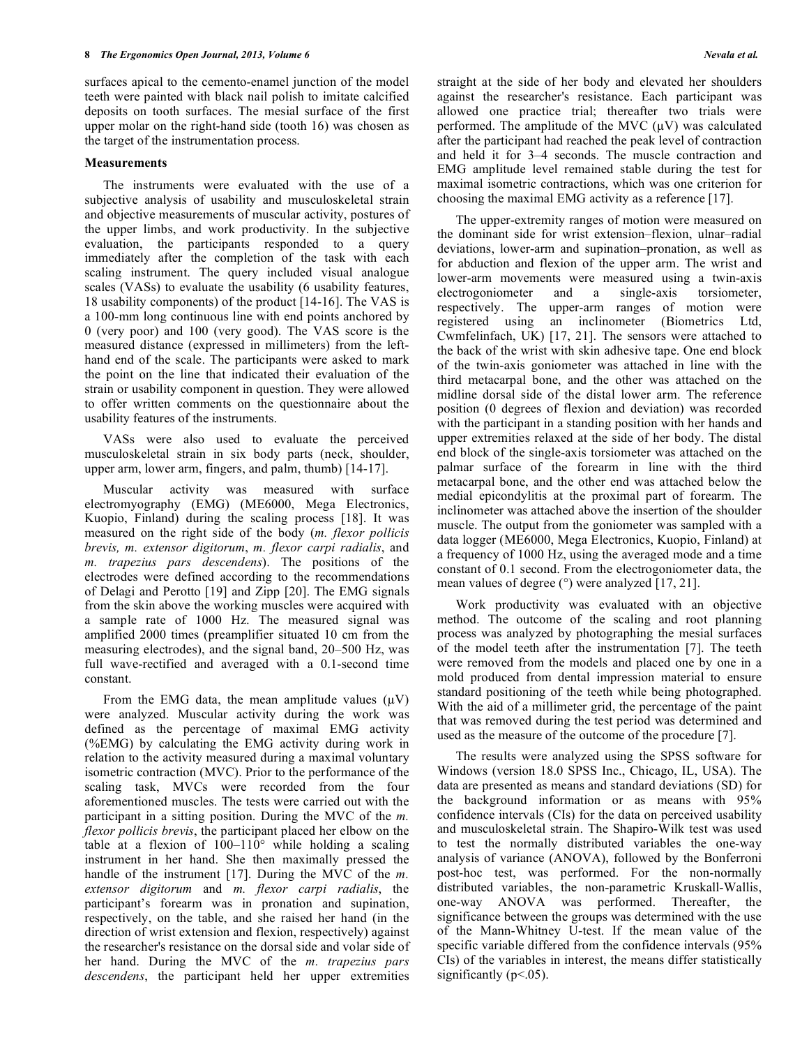surfaces apical to the cemento-enamel junction of the model teeth were painted with black nail polish to imitate calcified deposits on tooth surfaces. The mesial surface of the first upper molar on the right-hand side (tooth 16) was chosen as the target of the instrumentation process.

#### **Measurements**

 The instruments were evaluated with the use of a subjective analysis of usability and musculoskeletal strain and objective measurements of muscular activity, postures of the upper limbs, and work productivity. In the subjective evaluation, the participants responded to a query immediately after the completion of the task with each scaling instrument. The query included visual analogue scales (VASs) to evaluate the usability (6 usability features, 18 usability components) of the product [14-16]. The VAS is a 100-mm long continuous line with end points anchored by 0 (very poor) and 100 (very good). The VAS score is the measured distance (expressed in millimeters) from the lefthand end of the scale. The participants were asked to mark the point on the line that indicated their evaluation of the strain or usability component in question. They were allowed to offer written comments on the questionnaire about the usability features of the instruments.

 VASs were also used to evaluate the perceived musculoskeletal strain in six body parts (neck, shoulder, upper arm, lower arm, fingers, and palm, thumb) [14-17].

 Muscular activity was measured with surface electromyography (EMG) (ME6000, Mega Electronics, Kuopio, Finland) during the scaling process [18]. It was measured on the right side of the body (*m. flexor pollicis brevis, m. extensor digitorum*, *m. flexor carpi radialis*, and *m. trapezius pars descendens*). The positions of the electrodes were defined according to the recommendations of Delagi and Perotto [19] and Zipp [20]. The EMG signals from the skin above the working muscles were acquired with a sample rate of 1000 Hz. The measured signal was amplified 2000 times (preamplifier situated 10 cm from the measuring electrodes), and the signal band, 20–500 Hz, was full wave-rectified and averaged with a 0.1-second time constant.

From the EMG data, the mean amplitude values  $(\mu V)$ were analyzed. Muscular activity during the work was defined as the percentage of maximal EMG activity (%EMG) by calculating the EMG activity during work in relation to the activity measured during a maximal voluntary isometric contraction (MVC). Prior to the performance of the scaling task, MVCs were recorded from the four aforementioned muscles. The tests were carried out with the participant in a sitting position. During the MVC of the *m. flexor pollicis brevis*, the participant placed her elbow on the table at a flexion of 100–110° while holding a scaling instrument in her hand. She then maximally pressed the handle of the instrument [17]. During the MVC of the *m. extensor digitorum* and *m. flexor carpi radialis*, the participant's forearm was in pronation and supination, respectively, on the table, and she raised her hand (in the direction of wrist extension and flexion, respectively) against the researcher's resistance on the dorsal side and volar side of her hand. During the MVC of the *m. trapezius pars descendens*, the participant held her upper extremities

straight at the side of her body and elevated her shoulders against the researcher's resistance. Each participant was allowed one practice trial; thereafter two trials were performed. The amplitude of the MVC  $(\mu V)$  was calculated after the participant had reached the peak level of contraction and held it for 3–4 seconds. The muscle contraction and EMG amplitude level remained stable during the test for maximal isometric contractions, which was one criterion for choosing the maximal EMG activity as a reference [17].

 The upper-extremity ranges of motion were measured on the dominant side for wrist extension–flexion, ulnar–radial deviations, lower-arm and supination–pronation, as well as for abduction and flexion of the upper arm. The wrist and lower-arm movements were measured using a twin-axis electrogoniometer and a single-axis torsiometer, respectively. The upper-arm ranges of motion were registered using an inclinometer (Biometrics Ltd, Cwmfelinfach, UK) [17, 21]. The sensors were attached to the back of the wrist with skin adhesive tape. One end block of the twin-axis goniometer was attached in line with the third metacarpal bone, and the other was attached on the midline dorsal side of the distal lower arm. The reference position (0 degrees of flexion and deviation) was recorded with the participant in a standing position with her hands and upper extremities relaxed at the side of her body. The distal end block of the single-axis torsiometer was attached on the palmar surface of the forearm in line with the third metacarpal bone, and the other end was attached below the medial epicondylitis at the proximal part of forearm. The inclinometer was attached above the insertion of the shoulder muscle. The output from the goniometer was sampled with a data logger (ME6000, Mega Electronics, Kuopio, Finland) at a frequency of 1000 Hz, using the averaged mode and a time constant of 0.1 second. From the electrogoniometer data, the mean values of degree (°) were analyzed [17, 21].

 Work productivity was evaluated with an objective method. The outcome of the scaling and root planning process was analyzed by photographing the mesial surfaces of the model teeth after the instrumentation [7]. The teeth were removed from the models and placed one by one in a mold produced from dental impression material to ensure standard positioning of the teeth while being photographed. With the aid of a millimeter grid, the percentage of the paint that was removed during the test period was determined and used as the measure of the outcome of the procedure [7].

 The results were analyzed using the SPSS software for Windows (version 18.0 SPSS Inc., Chicago, IL, USA). The data are presented as means and standard deviations (SD) for the background information or as means with 95% confidence intervals (CIs) for the data on perceived usability and musculoskeletal strain. The Shapiro-Wilk test was used to test the normally distributed variables the one-way analysis of variance (ANOVA), followed by the Bonferroni post-hoc test, was performed. For the non-normally distributed variables, the non-parametric Kruskall-Wallis, one-way ANOVA was performed. Thereafter, the significance between the groups was determined with the use of the Mann-Whitney U-test. If the mean value of the specific variable differed from the confidence intervals (95% CIs) of the variables in interest, the means differ statistically significantly ( $p$ <.05).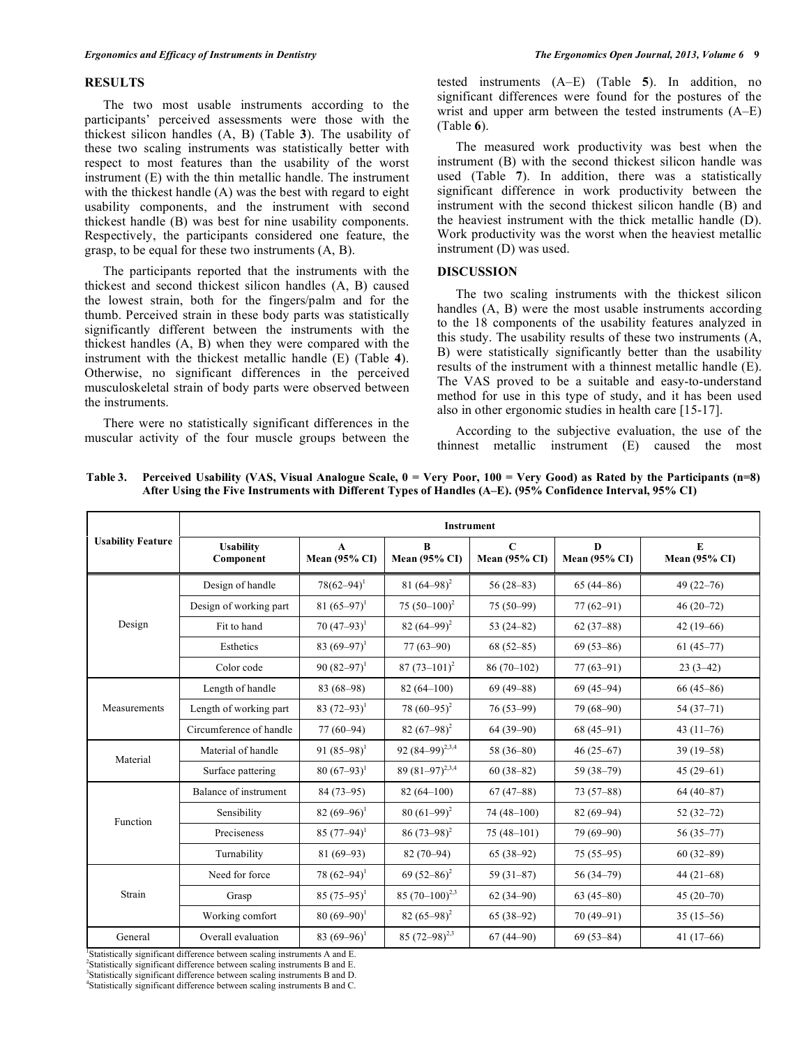#### **RESULTS**

 The two most usable instruments according to the participants' perceived assessments were those with the thickest silicon handles (A, B) (Table **3**). The usability of these two scaling instruments was statistically better with respect to most features than the usability of the worst instrument (E) with the thin metallic handle. The instrument with the thickest handle (A) was the best with regard to eight usability components, and the instrument with second thickest handle (B) was best for nine usability components. Respectively, the participants considered one feature, the grasp, to be equal for these two instruments (A, B).

 The participants reported that the instruments with the thickest and second thickest silicon handles (A, B) caused the lowest strain, both for the fingers/palm and for the thumb. Perceived strain in these body parts was statistically significantly different between the instruments with the thickest handles (A, B) when they were compared with the instrument with the thickest metallic handle (E) (Table **4**). Otherwise, no significant differences in the perceived musculoskeletal strain of body parts were observed between the instruments.

 There were no statistically significant differences in the muscular activity of the four muscle groups between the tested instruments (A–E) (Table **5**). In addition, no significant differences were found for the postures of the wrist and upper arm between the tested instruments (A–E) (Table **6**).

 The measured work productivity was best when the instrument (B) with the second thickest silicon handle was used (Table **7**). In addition, there was a statistically significant difference in work productivity between the instrument with the second thickest silicon handle (B) and the heaviest instrument with the thick metallic handle (D). Work productivity was the worst when the heaviest metallic instrument (D) was used.

### **DISCUSSION**

 The two scaling instruments with the thickest silicon handles (A, B) were the most usable instruments according to the 18 components of the usability features analyzed in this study. The usability results of these two instruments (A, B) were statistically significantly better than the usability results of the instrument with a thinnest metallic handle (E). The VAS proved to be a suitable and easy-to-understand method for use in this type of study, and it has been used also in other ergonomic studies in health care [15-17].

 According to the subjective evaluation, the use of the thinnest metallic instrument (E) caused the most

|                          | <b>Instrument</b>             |                                      |                                  |                                     |                                  |                                   |  |  |  |  |
|--------------------------|-------------------------------|--------------------------------------|----------------------------------|-------------------------------------|----------------------------------|-----------------------------------|--|--|--|--|
| <b>Usability Feature</b> | <b>Usability</b><br>Component | $\mathbf{A}$<br><b>Mean (95% CI)</b> | $\bf{B}$<br><b>Mean (95% CI)</b> | $\mathbf C$<br><b>Mean (95% CI)</b> | $\bf{D}$<br><b>Mean (95% CI)</b> | ${\bf E}$<br><b>Mean (95% CI)</b> |  |  |  |  |
|                          | Design of handle              | $78(62 - 94)^1$                      | 81 $(64-98)^2$                   | $56(28-83)$                         | $65(44-86)$                      | $49(22 - 76)$                     |  |  |  |  |
|                          | Design of working part        | 81 $(65-97)^1$                       | 75 $(50-100)^2$                  | $75(50-99)$                         | $77(62 - 91)$                    | $46(20-72)$                       |  |  |  |  |
| Design                   | Fit to hand                   | $70(47-93)^1$                        | 82 $(64-99)^2$                   | 53 $(24-82)$                        | $62(37-88)$                      | $42(19-66)$                       |  |  |  |  |
|                          | Esthetics                     | 83 $(69-97)^1$                       | $77(63 - 90)$                    | $68(52-85)$                         | $69(53-86)$                      | $61(45-77)$                       |  |  |  |  |
|                          | Color code                    | 90 $(82 - 97)^1$                     | $87(73-101)^2$                   | $86(70-102)$                        | $77(63-91)$                      | $23(3-42)$                        |  |  |  |  |
| Measurements             | Length of handle              | 83 (68-98)                           | $82(64-100)$                     | $69(49 - 88)$                       | $69(45-94)$                      | $66(45-86)$                       |  |  |  |  |
|                          | Length of working part        | 83 $(72-93)^1$                       | $78(60-95)^2$                    | $76(53-99)$                         | $79(68-90)$                      | $54(37-71)$                       |  |  |  |  |
|                          | Circumference of handle       | $77(60-94)$                          | 82 $(67-98)^2$                   | $64(39-90)$                         | $68(45-91)$                      | 43 $(11-76)$                      |  |  |  |  |
| Material                 | Material of handle            | 91 $(85-98)^1$                       | 92 $(84-99)^{2,3,4}$             | 58 $(36-80)$                        | $46(25-67)$                      | $39(19-58)$                       |  |  |  |  |
|                          | Surface pattering             | $80(67-93)^1$                        | 89 $(81-97)^{2,3,4}$             | $60(38-82)$                         | $59(38-79)$                      | $45(29-61)$                       |  |  |  |  |
|                          | Balance of instrument         | $84(73-95)$                          | $82(64 - 100)$                   | $67(47-88)$                         | $73(57-88)$                      | $64(40-87)$                       |  |  |  |  |
| Function                 | Sensibility                   | 82 $(69-96)^1$                       | $80(61-99)^2$                    | $74(48-100)$                        | $82(69-94)$                      | $52(32-72)$                       |  |  |  |  |
|                          | Preciseness                   | $85(77-94)^1$                        | $86(73-98)^2$                    | $75(48-101)$                        | $79(69-90)$                      | $56(35-77)$                       |  |  |  |  |
|                          | Turnability                   | $81(69-93)$                          | $82(70-94)$                      | $65(38-92)$                         | $75(55-95)$                      | $60(32-89)$                       |  |  |  |  |
| Strain                   | Need for force                | $78(62 - 94)^1$                      | 69 $(52 - 86)^2$                 | $59(31-87)$                         | $56(34-79)$                      | $44(21-68)$                       |  |  |  |  |
|                          | Grasp                         | $85(75-95)^1$                        | 85 $(70-100)^{2,3}$              | $62(34-90)$                         | $63(45-80)$                      | $45(20-70)$                       |  |  |  |  |
|                          | Working comfort               | $80(69-90)^1$                        | 82 $(65-98)^2$                   | $65(38-92)$                         | $70(49-91)$                      | $35(15-56)$                       |  |  |  |  |
| General                  | Overall evaluation            | 83 $(69-96)^1$                       | 85 $(72 - 98)^{2,3}$             | $67(44-90)$                         | $69(53 - 84)$                    | $41(17-66)$                       |  |  |  |  |

**Table 3. Perceived Usability (VAS, Visual Analogue Scale, 0 = Very Poor, 100 = Very Good) as Rated by the Participants (n=8) After Using the Five Instruments with Different Types of Handles (A–E). (95% Confidence Interval, 95% CI)** 

<sup>1</sup>Statistically significant difference between scaling instruments A and E.

2 Statistically significant difference between scaling instruments B and E. <sup>3</sup>Statistically significant difference between scaling instruments B and D.

4 Statistically significant difference between scaling instruments B and C.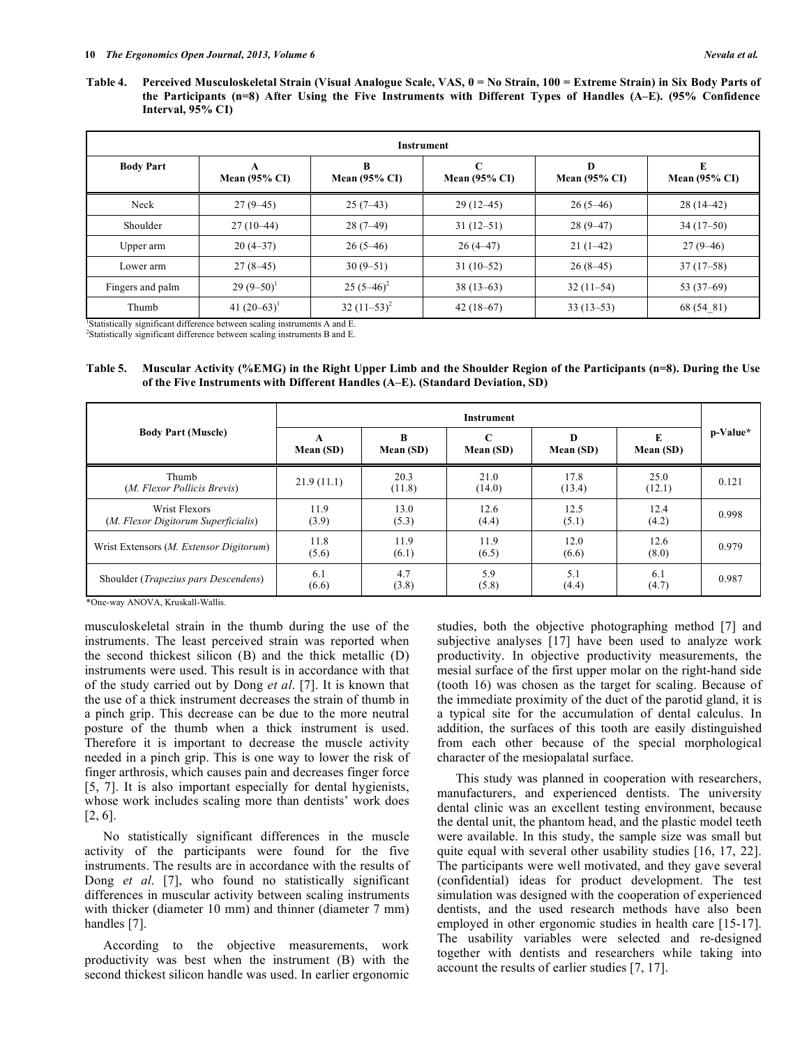Table 4. Perceived Musculoskeletal Strain (Visual Analogue Scale, VAS, 0 = No Strain, 100 = Extreme Strain) in Six Body Parts of **the Participants (n=8) After Using the Five Instruments with Different Types of Handles (A–E). (95% Confidence Interval, 95% CI)** 

| Instrument       |                               |                               |                               |                               |                               |  |  |  |  |
|------------------|-------------------------------|-------------------------------|-------------------------------|-------------------------------|-------------------------------|--|--|--|--|
| <b>Body Part</b> | A<br>Mean $(95\% \text{ CI})$ | B<br>Mean $(95\% \text{ CI})$ | C<br>Mean $(95\% \text{ CI})$ | D<br>Mean $(95\% \text{ CI})$ | E<br>Mean $(95\% \text{ CI})$ |  |  |  |  |
| Neck             | $27(9-45)$                    | $25(7-43)$                    | $29(12-45)$                   | $26(5-46)$                    | $28(14-42)$                   |  |  |  |  |
| Shoulder         | $27(10-44)$                   | $28(7-49)$                    | $31(12-51)$                   | $28(9-47)$                    | $34(17-50)$                   |  |  |  |  |
| Upper arm        | $20(4-37)$                    | $26(5-46)$                    | $26(4-47)$                    | $21(1-42)$                    | $27(9-46)$                    |  |  |  |  |
| Lower arm        | $27(8-45)$                    | $30(9-51)$                    | $31(10-52)$                   | $26(8-45)$                    | $37(17-58)$                   |  |  |  |  |
| Fingers and palm | $29(9-50)^1$                  | $25(5-46)^2$                  | $38(13-63)$                   | $32(11-54)$                   | 53 $(37-69)$                  |  |  |  |  |
| Thumb            | 41 $(20-63)^1$                | $32(11-53)^2$                 | $42(18-67)$                   | $33(13-53)$                   | 68 (54 81)                    |  |  |  |  |

<sup>1</sup>Statistically significant difference between scaling instruments A and E. 2 Statistically significant difference between scaling instruments B and E.

**Table 5. Muscular Activity (%EMG) in the Right Upper Limb and the Shoulder Region of the Participants (n=8). During the Use of the Five Instruments with Different Handles (A–E). (Standard Deviation, SD)** 

|                                                      | <b>Instrument</b> |                |                          |                |                |          |
|------------------------------------------------------|-------------------|----------------|--------------------------|----------------|----------------|----------|
| <b>Body Part (Muscle)</b>                            | Mean (SD)         | R<br>Mean (SD) | $\mathbf C$<br>Mean (SD) | D<br>Mean (SD) | E<br>Mean (SD) | p-Value* |
| Thumb<br>(M. Flexor Pollicis Brevis)                 | 21.9(11.1)        | 20.3<br>(11.8) | 21.0<br>(14.0)           | 17.8<br>(13.4) | 25.0<br>(12.1) | 0.121    |
| Wrist Flexors<br>(M. Flexor Digitorum Superficialis) | 11.9<br>(3.9)     | 13.0<br>(5.3)  | 12.6<br>(4.4)            | 12.5<br>(5.1)  | 12.4<br>(4.2)  | 0.998    |
| Wrist Extensors ( <i>M. Extensor Digitorum</i> )     | 11.8<br>(5.6)     | 11.9<br>(6.1)  | 11.9<br>(6.5)            | 12.0<br>(6.6)  | 12.6<br>(8.0)  | 0.979    |
| Shoulder ( <i>Trapezius pars Descendens</i> )        | 6.1<br>(6.6)      | 4.7<br>(3.8)   | 5.9<br>(5.8)             | 5.1<br>(4.4)   | 6.1<br>(4.7)   | 0.987    |

\*One-way ANOVA, Kruskall-Wallis.

musculoskeletal strain in the thumb during the use of the instruments. The least perceived strain was reported when the second thickest silicon (B) and the thick metallic (D) instruments were used. This result is in accordance with that of the study carried out by Dong *et al*. [7]. It is known that the use of a thick instrument decreases the strain of thumb in a pinch grip. This decrease can be due to the more neutral posture of the thumb when a thick instrument is used. Therefore it is important to decrease the muscle activity needed in a pinch grip. This is one way to lower the risk of finger arthrosis, which causes pain and decreases finger force [5, 7]. It is also important especially for dental hygienists, whose work includes scaling more than dentists' work does [2, 6].

 No statistically significant differences in the muscle activity of the participants were found for the five instruments. The results are in accordance with the results of Dong *et al*. [7], who found no statistically significant differences in muscular activity between scaling instruments with thicker (diameter 10 mm) and thinner (diameter 7 mm) handles [7].

 According to the objective measurements, work productivity was best when the instrument (B) with the second thickest silicon handle was used. In earlier ergonomic studies, both the objective photographing method [7] and subjective analyses [17] have been used to analyze work productivity. In objective productivity measurements, the mesial surface of the first upper molar on the right-hand side (tooth 16) was chosen as the target for scaling. Because of the immediate proximity of the duct of the parotid gland, it is a typical site for the accumulation of dental calculus. In addition, the surfaces of this tooth are easily distinguished from each other because of the special morphological character of the mesiopalatal surface.

 This study was planned in cooperation with researchers, manufacturers, and experienced dentists. The university dental clinic was an excellent testing environment, because the dental unit, the phantom head, and the plastic model teeth were available. In this study, the sample size was small but quite equal with several other usability studies [16, 17, 22]. The participants were well motivated, and they gave several (confidential) ideas for product development. The test simulation was designed with the cooperation of experienced dentists, and the used research methods have also been employed in other ergonomic studies in health care [15-17]. The usability variables were selected and re-designed together with dentists and researchers while taking into account the results of earlier studies [7, 17].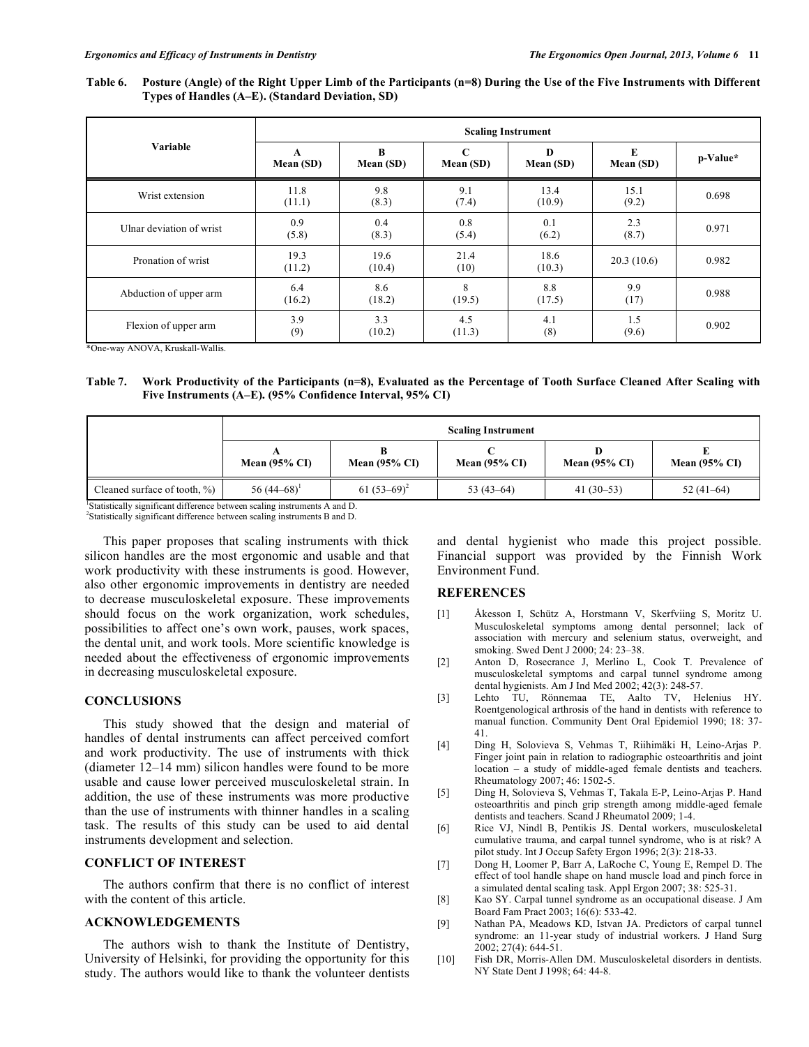**Table 6. Posture (Angle) of the Right Upper Limb of the Participants (n=8) During the Use of the Five Instruments with Different Types of Handles (A–E). (Standard Deviation, SD)** 

|                          | <b>Scaling Instrument</b> |                |                          |                |                |          |  |  |
|--------------------------|---------------------------|----------------|--------------------------|----------------|----------------|----------|--|--|
| Variable                 | A<br>Mean (SD)            | B<br>Mean (SD) | $\mathbf C$<br>Mean (SD) | D<br>Mean (SD) | E<br>Mean (SD) | p-Value* |  |  |
| Wrist extension          | 11.8<br>(11.1)            | 9.8<br>(8.3)   | 9.1<br>(7.4)             | 13.4<br>(10.9) | 15.1<br>(9.2)  | 0.698    |  |  |
| Ulnar deviation of wrist | 0.9<br>(5.8)              | 0.4<br>(8.3)   | 0.8<br>(5.4)             | 0.1<br>(6.2)   | 2.3<br>(8.7)   | 0.971    |  |  |
| Pronation of wrist       | 19.3<br>(11.2)            | 19.6<br>(10.4) | 21.4<br>(10)             | 18.6<br>(10.3) | 20.3(10.6)     | 0.982    |  |  |
| Abduction of upper arm   | 6.4<br>(16.2)             | 8.6<br>(18.2)  | 8<br>(19.5)              | 8.8<br>(17.5)  | 9.9<br>(17)    | 0.988    |  |  |
| Flexion of upper arm     | 3.9<br>(9)                | 3.3<br>(10.2)  | 4.5<br>(11.3)            | 4.1<br>(8)     | 1.5<br>(9.6)   | 0.902    |  |  |

\*One-way ANOVA, Kruskall-Wallis.

**Table 7. Work Productivity of the Participants (n=8), Evaluated as the Percentage of Tooth Surface Cleaned After Scaling with Five Instruments (A–E). (95% Confidence Interval, 95% CI)** 

|                                  | <b>Scaling Instrument</b> |                          |                          |                 |                          |  |  |  |  |
|----------------------------------|---------------------------|--------------------------|--------------------------|-----------------|--------------------------|--|--|--|--|
|                                  | Mean $(95\% \text{ CI})$  | Mean $(95\% \text{ CI})$ | Mean $(95\% \text{ CI})$ | Mean $(95\%$ CI | Mean $(95\% \text{ CI})$ |  |  |  |  |
| Cleaned surface of tooth, $\%$ ) | 56 $(44-68)^1$            | 61 $(53-69)^2$           | 53 $(43-64)$             | $41(30-53)$     | $52(41-64)$              |  |  |  |  |

<sup>1</sup>Statistically significant difference between scaling instruments A and D. 2 Statistically significant difference between scaling instruments B and D.

 This paper proposes that scaling instruments with thick silicon handles are the most ergonomic and usable and that work productivity with these instruments is good. However, also other ergonomic improvements in dentistry are needed to decrease musculoskeletal exposure. These improvements should focus on the work organization, work schedules, possibilities to affect one's own work, pauses, work spaces, the dental unit, and work tools. More scientific knowledge is needed about the effectiveness of ergonomic improvements in decreasing musculoskeletal exposure.

#### **CONCLUSIONS**

 This study showed that the design and material of handles of dental instruments can affect perceived comfort and work productivity. The use of instruments with thick (diameter 12–14 mm) silicon handles were found to be more usable and cause lower perceived musculoskeletal strain. In addition, the use of these instruments was more productive than the use of instruments with thinner handles in a scaling task. The results of this study can be used to aid dental instruments development and selection.

#### **CONFLICT OF INTEREST**

 The authors confirm that there is no conflict of interest with the content of this article.

## **ACKNOWLEDGEMENTS**

 The authors wish to thank the Institute of Dentistry, University of Helsinki, for providing the opportunity for this study. The authors would like to thank the volunteer dentists

and dental hygienist who made this project possible. Financial support was provided by the Finnish Work Environment Fund.

#### **REFERENCES**

- [1] Åkesson I, Schütz A, Horstmann V, Skerfviing S, Moritz U. Musculoskeletal symptoms among dental personnel; lack of association with mercury and selenium status, overweight, and smoking. Swed Dent J 2000; 24: 23–38.
- [2] Anton D, Rosecrance J, Merlino L, Cook T. Prevalence of musculoskeletal symptoms and carpal tunnel syndrome among dental hygienists. Am J Ind Med 2002; 42(3): 248-57.
- [3] Lehto TU, Rönnemaa TE, Aalto TV, Helenius HY. Roentgenological arthrosis of the hand in dentists with reference to manual function. Community Dent Oral Epidemiol 1990; 18: 37- 41.
- [4] Ding H, Solovieva S, Vehmas T, Riihimäki H, Leino-Arjas P. Finger joint pain in relation to radiographic osteoarthritis and joint location – a study of middle-aged female dentists and teachers. Rheumatology 2007; 46: 1502-5.
- [5] Ding H, Solovieva S, Vehmas T, Takala E-P, Leino-Arjas P. Hand osteoarthritis and pinch grip strength among middle-aged female dentists and teachers. Scand J Rheumatol 2009; 1-4.
- [6] Rice VJ, Nindl B, Pentikis JS. Dental workers, musculoskeletal cumulative trauma, and carpal tunnel syndrome, who is at risk? A pilot study. Int J Occup Safety Ergon 1996; 2(3): 218-33.
- [7] Dong H, Loomer P, Barr A, LaRoche C, Young E, Rempel D. The effect of tool handle shape on hand muscle load and pinch force in a simulated dental scaling task. Appl Ergon 2007; 38: 525-31.
- [8] Kao SY. Carpal tunnel syndrome as an occupational disease. J Am Board Fam Pract 2003; 16(6): 533-42.
- [9] Nathan PA, Meadows KD, Istvan JA. Predictors of carpal tunnel syndrome: an 11-year study of industrial workers. J Hand Surg 2002; 27(4): 644-51.
- [10] Fish DR, Morris-Allen DM. Musculoskeletal disorders in dentists. NY State Dent J 1998; 64: 44-8.